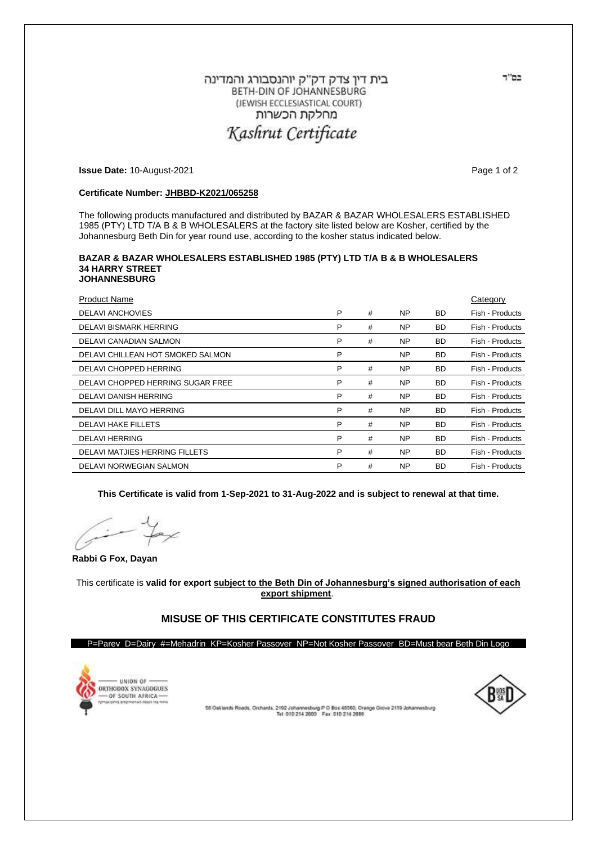# בית דין צדק דק"ק יוהנסבורג והמדינה BETH-DIN OF JOHANNESBURG (JEWISH ECCLESIASTICAL COURT) מחלקת הכשרות Kashrut Certificate

**Issue Date:** 10-August-2021 **Page 1 of 2 Page 1 of 2** 

## **Certificate Number: JHBBD-K2021/065258**

The following products manufactured and distributed by BAZAR & BAZAR WHOLESALERS ESTABLISHED 1985 (PTY) LTD T/A B & B WHOLESALERS at the factory site listed below are Kosher, certified by the Johannesburg Beth Din for year round use, according to the kosher status indicated below.

#### **BAZAR & BAZAR WHOLESALERS ESTABLISHED 1985 (PTY) LTD T/A B & B WHOLESALERS 34 HARRY STREET JOHANNESBURG**

| <b>Product Name</b>               |   |   |           |           | Category        |
|-----------------------------------|---|---|-----------|-----------|-----------------|
| <b>DELAVI ANCHOVIES</b>           | P | # | <b>NP</b> | <b>BD</b> | Fish - Products |
| <b>DELAVI BISMARK HERRING</b>     | P | # | <b>NP</b> | <b>BD</b> | Fish - Products |
| DELAVI CANADIAN SALMON            | P | # | <b>NP</b> | <b>BD</b> | Fish - Products |
| DELAVI CHILLEAN HOT SMOKED SALMON | P |   | <b>NP</b> | <b>BD</b> | Fish - Products |
| DELAVI CHOPPED HERRING            | P | # | <b>NP</b> | <b>BD</b> | Fish - Products |
| DELAVI CHOPPED HERRING SUGAR FREE | P | # | <b>NP</b> | <b>BD</b> | Fish - Products |
| <b>DELAVI DANISH HERRING</b>      | P | # | <b>NP</b> | <b>BD</b> | Fish - Products |
| DELAVI DILL MAYO HERRING          | P | # | <b>NP</b> | <b>BD</b> | Fish - Products |
| <b>DELAVI HAKE FILLETS</b>        | P | # | <b>NP</b> | <b>BD</b> | Fish - Products |
| <b>DELAVI HERRING</b>             | P | # | <b>NP</b> | <b>BD</b> | Fish - Products |
| DELAVI MATJIES HERRING FILLETS    | P | # | <b>NP</b> | <b>BD</b> | Fish - Products |
| DELAVI NORWEGIAN SALMON           | P | # | <b>NP</b> | <b>BD</b> | Fish - Products |

**This Certificate is valid from 1-Sep-2021 to 31-Aug-2022 and is subject to renewal at that time.**

**Rabbi G Fox, Dayan**

This certificate is **valid for export subject to the Beth Din of Johannesburg's signed authorisation of each export shipment**.

# **MISUSE OF THIS CERTIFICATE CONSTITUTES FRAUD**

#### P=Parev D=Dairy #=Mehadrin KP=Kosher Passover NP=Not Kosher Passover BD=Must bear Beth Din Logo





55 Osklands Roads, Orchards, 2192 Johannesburg P O Box 45550, Craege Grove 2119 Johannesburg<br>Tel: 010 214 2600 Fax: 010 214 2686

בס"ד